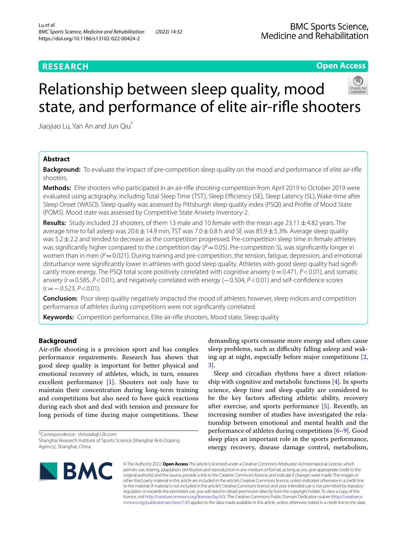# **RESEARCH**

# **Open Access**

# Relationship between sleep quality, mood state, and performance of elite air-rifle shooters



Jiaojiao Lu, Yan An and Jun Qiu<sup>\*</sup>

# **Abstract**

**Background:** To evaluate the impact of pre-competition sleep quality on the mood and performance of elite air-rife shooters.

**Methods:** Elite shooters who participated in an air-rife shooting-competition from April 2019 to October 2019 were evaluated using actigraphy, including Total Sleep Time (TST), Sleep Efficiency (SE), Sleep Latency (SL), Wake-time after Sleep Onset (WASO). Sleep quality was assessed by Pittsburgh sleep quality index (PSQI) and Profile of Mood State (POMS). Mood state was assessed by Competitive State Anxiety Inventory-2.

**Results:** Study included 23 shooters, of them 13 male and 10 female with the mean age 23.11  $\pm$  4.82 years. The average time to fall asleep was  $20.6 \pm 14.9$  min, TST was  $7.0 \pm 0.8$  h and SE was  $85.9 \pm 5.3$ %. Average sleep quality was  $5.2 \pm 2.2$  and tended to decrease as the competition progressed. Pre-competition sleep time in female athletes was significantly higher compared to the competition day ( $P=0.05$ ). Pre-competition SL was significantly longer in women than in men  $(F = 0.021)$ . During training and pre-competition, the tension, fatigue, depression, and emotional disturbance were signifcantly lower in athletes with good sleep quality. Athletes with good sleep quality had signifcantly more energy. The PSQI total score positively correlated with cognitive anxiety (r=0.471, *P*<0.01), and somatic anxiety (r=0.585, *P*<0.01), and negatively correlated with energy (−0.504, *P*<0.01) and self-confdence scores (r=−0.523, *P*<0.01).

**Conclusion:** Poor sleep quality negatively impacted the mood of athletes; however, sleep indices and competition performance of athletes during competitions were not signifcantly correlated.

**Keywords:** Competition performance, Elite air-rife shooters, Mood state, Sleep quality

# **Background**

Air-rife shooting is a precision sport and has complex performance requirements. Research has shown that good sleep quality is important for better physical and emotional recovery of athletes, which, in turn, ensures excellent performance [[1\]](#page-7-0). Shooters not only have to maintain their concentration during long-term training and competitions but also need to have quick reactions during each shot and deal with tension and pressure for long periods of time during major competitions. These

demanding sports consume more energy and often cause sleep problems, such as difficulty falling asleep and waking up at night, especially before major competitions [\[2](#page-7-1), [3\]](#page-7-2).

Sleep and circadian rhythms have a direct relationship with cognitive and metabolic functions [\[4](#page-7-3)]. In sports science, sleep time and sleep quality are considered to be the key factors afecting athletic ability, recovery after exercise, and sports performance [[5\]](#page-7-4). Recently, an increasing number of studies have investigated the relationship between emotional and mental health and the performance of athletes during competitions [[6–](#page-7-5)[9\]](#page-7-6). Good sleep plays an important role in the sports performance, energy recovery, disease damage control, metabolism,



© The Author(s) 2022. **Open Access** This article is licensed under a Creative Commons Attribution 4.0 International License, which permits use, sharing, adaptation, distribution and reproduction in any medium or format, as long as you give appropriate credit to the original author(s) and the source, provide a link to the Creative Commons licence, and indicate if changes were made. The images or other third party material in this article are included in the article's Creative Commons licence, unless indicated otherwise in a credit line to the material. If material is not included in the article's Creative Commons licence and your intended use is not permitted by statutory regulation or exceeds the permitted use, you will need to obtain permission directly from the copyright holder. To view a copy of this licence, visit [http://creativecommons.org/licenses/by/4.0/.](http://creativecommons.org/licenses/by/4.0/) The Creative Commons Public Domain Dedication waiver ([http://creativeco](http://creativecommons.org/publicdomain/zero/1.0/) [mmons.org/publicdomain/zero/1.0/](http://creativecommons.org/publicdomain/zero/1.0/)) applies to the data made available in this article, unless otherwise stated in a credit line to the data.

<sup>\*</sup>Correspondence: shrisslab@126.com Shanghai Research Institute of Sports Science (Shanghai Anti-Doping Agency), Shanghai, China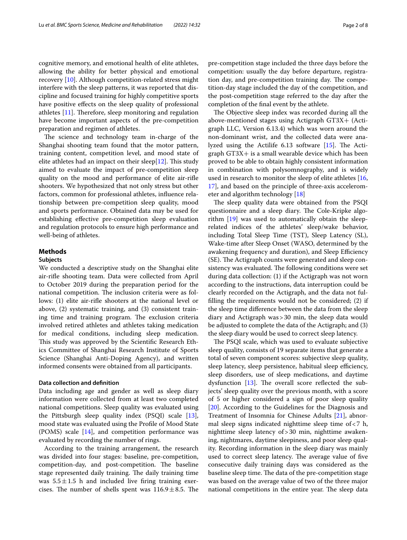cognitive memory, and emotional health of elite athletes, allowing the ability for better physical and emotional recovery [[10\]](#page-7-7). Although competition-related stress might interfere with the sleep patterns, it was reported that discipline and focused training for highly competitive sports have positive efects on the sleep quality of professional athletes  $[11]$  $[11]$ . Therefore, sleep monitoring and regulation have become important aspects of the pre-competition preparation and regimen of athletes.

The science and technology team in-charge of the Shanghai shooting team found that the motor pattern, training content, competition level, and mood state of elite athletes had an impact on their sleep $[12]$  $[12]$  $[12]$ . This study aimed to evaluate the impact of pre-competition sleep quality on the mood and performance of elite air-rife shooters. We hypothesized that not only stress but other factors, common for professional athletes, infuence relationship between pre-competition sleep quality, mood and sports performance. Obtained data may be used for establishing efective pre-competition sleep evaluation and regulation protocols to ensure high performance and well-being of athletes.

# **Methods**

# **Subjects**

We conducted a descriptive study on the Shanghai elite air-rife shooting team. Data were collected from April to October 2019 during the preparation period for the national competition. The inclusion criteria were as follows: (1) elite air-rife shooters at the national level or above, (2) systematic training, and (3) consistent training time and training program. The exclusion criteria involved retired athletes and athletes taking medication for medical conditions, including sleep medication. This study was approved by the Scientific Research Ethics Committee of Shanghai Research Institute of Sports Science (Shanghai Anti-Doping Agency), and written informed consents were obtained from all participants.

# **Data collection and defnition**

Data including age and gender as well as sleep diary information were collected from at least two completed national competitions. Sleep quality was evaluated using the Pittsburgh sleep quality index (PSQI) scale [\[13](#page-7-10)], mood state was evaluated using the Profle of Mood State (POMS) scale [\[14](#page-7-11)], and competition performance was evaluated by recording the number of rings.

According to the training arrangement, the research was divided into four stages: baseline, pre-competition, competition-day, and post-competition. The baseline stage represented daily training. The daily training time was  $5.5 \pm 1.5$  h and included live firing training exercises. The number of shells spent was  $116.9 \pm 8.5$ . The pre-competition stage included the three days before the competition: usually the day before departure, registration day, and pre-competition training day. The competition-day stage included the day of the competition, and the post-competition stage referred to the day after the completion of the fnal event by the athlete.

The Objective sleep index was recorded during all the above-mentioned stages using Actigraph GT3X+ (Actigraph LLC, Version 6.13.4) which was worn around the non-dominant wrist, and the collected data were analyzed using the Actilife  $6.13$  software  $[15]$  $[15]$ . The Actigraph GT3X+ is a small wearable device which has been proved to be able to obtain highly consistent information in combination with polysomnography, and is widely used in research to monitor the sleep of elite athletes [[16](#page-7-13), [17\]](#page-7-14), and based on the principle of three-axis accelerometer and algorithm technology [[18\]](#page-7-15)

The sleep quality data were obtained from the PSQI questionnaire and a sleep diary. The Cole-Kripke algorithm [\[19](#page-7-16)] was used to automatically obtain the sleeprelated indices of the athletes' sleep/wake behavior, including Total Sleep Time (TST), Sleep Latency (SL), Wake-time after Sleep Onset (WASO, determined by the awakening frequency and duration), and Sleep Efficiency (SE). The Actigraph counts were generated and sleep consistency was evaluated. The following conditions were set during data collection: (1) if the Actigraph was not worn according to the instructions, data interruption could be clearly recorded on the Actigraph, and the data not fulflling the requirements would not be considered; (2) if the sleep time diference between the data from the sleep diary and Actigraph was>30 min, the sleep data would be adjusted to complete the data of the Actigraph; and (3) the sleep diary would be used to correct sleep latency.

The PSQI scale, which was used to evaluate subjective sleep quality, consists of 19 separate items that generate a total of seven component scores: subjective sleep quality, sleep latency, sleep persistence, habitual sleep efficiency, sleep disorders, use of sleep medications, and daytime dysfunction  $[13]$  $[13]$  $[13]$ . The overall score reflected the subjects' sleep quality over the previous month, with a score of 5 or higher considered a sign of poor sleep quality [[20\]](#page-7-17). According to the Guidelines for the Diagnosis and Treatment of Insomnia for Chinese Adults [\[21](#page-7-18)], abnormal sleep signs indicated nighttime sleep time of<7 h, nighttime sleep latency of>30 min, nighttime awakening, nightmares, daytime sleepiness, and poor sleep quality. Recording information in the sleep diary was mainly used to correct sleep latency. The average value of five consecutive daily training days was considered as the baseline sleep time. The data of the pre-competition stage was based on the average value of two of the three major national competitions in the entire year. The sleep data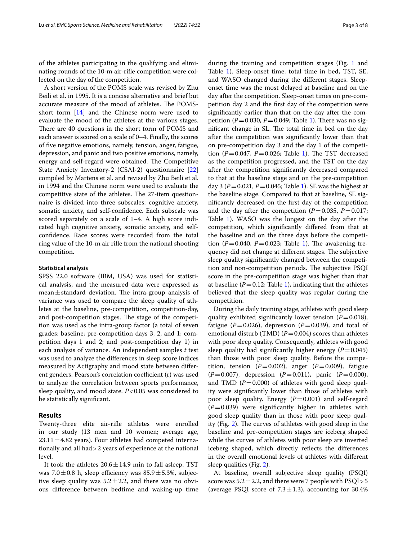of the athletes participating in the qualifying and eliminating rounds of the 10-m air-rife competition were col-

lected on the day of the competition. A short version of the POMS scale was revised by Zhu Beili et al. in 1995. It is a concise alternative and brief but accurate measure of the mood of athletes. The POMSshort form [\[14](#page-7-11)] and the Chinese norm were used to evaluate the mood of the athletes at the various stages. There are 40 questions in the short form of POMS and each answer is scored on a scale of 0–4. Finally, the scores of fve negative emotions, namely, tension, anger, fatigue, depression, and panic and two positive emotions, namely, energy and self-regard were obtained. The Competitive State Anxiety Inventory-2 (CSAI-2) questionnaire [[22](#page-7-19)] compiled by Martens et al. and revised by Zhu Beili et al. in 1994 and the Chinese norm were used to evaluate the competitive state of the athletes. The 27-item questionnaire is divided into three subscales: cognitive anxiety, somatic anxiety, and self-confdence. Each subscale was scored separately on a scale of 1–4. A high score indicated high cognitive anxiety, somatic anxiety, and selfconfdence. Race scores were recorded from the total ring value of the 10-m air rife from the national shooting competition.

## **Statistical analysis**

SPSS 22.0 software (IBM, USA) was used for statistical analysis, and the measured data were expressed as mean $\pm$ standard deviation. The intra-group analysis of variance was used to compare the sleep quality of athletes at the baseline, pre-competition, competition-day, and post-competition stages. The stage of the competition was used as the intra-group factor (a total of seven grades: baseline; pre-competition days 3, 2, and 1; competition days 1 and 2; and post-competition day 1) in each analysis of variance. An independent samples *t* test was used to analyze the diferences in sleep score indices measured by Actigraphy and mood state between diferent genders. Pearson's correlation coefficient (r) was used to analyze the correlation between sports performance, sleep quality, and mood state. *P*<0.05 was considered to be statistically signifcant.

# **Results**

Twenty-three elite air-rife athletes were enrolled in our study (13 men and 10 women; average age,  $23.11 \pm 4.82$  years). Four athletes had competed internationally and all had>2 years of experience at the national level.

It took the athletes  $20.6 \pm 14.9$  min to fall asleep. TST was  $7.0 \pm 0.8$  h, sleep efficiency was  $85.9 \pm 5.3$ %, subjective sleep quality was  $5.2 \pm 2.2$ , and there was no obvious diference between bedtime and waking-up time

during the training and competition stages (Fig. [1](#page-3-0) and Table [1](#page-3-1)). Sleep-onset time, total time in bed, TST, SE, and WASO changed during the diferent stages. Sleeponset time was the most delayed at baseline and on the day after the competition. Sleep-onset times on pre-competition day 2 and the frst day of the competition were signifcantly earlier than that on the day after the competition ( $P = 0.030$ ,  $P = 0.049$ ; Table [1\)](#page-3-1). There was no significant change in SL. The total time in bed on the day after the competition was signifcantly lower than that on pre-competition day 3 and the day 1 of the competition  $(P=0.047, P=0.026;$  Table [1\)](#page-3-1). The TST decreased as the competition progressed, and the TST on the day after the competition signifcantly decreased compared to that at the baseline stage and on the pre-competition day 3 ( $P = 0.021$ ,  $P = 0.045$ ; Table [1](#page-3-1)). SE was the highest at the baseline stage. Compared to that at baseline, SE signifcantly decreased on the frst day of the competition and the day after the competition  $(P=0.035, P=0.017;$ Table [1](#page-3-1)). WASO was the longest on the day after the competition, which signifcantly difered from that at the baseline and on the three days before the competition ( $P = 0.040$ ,  $P = 0.023$ ; Table [1](#page-3-1)). The awakening frequency did not change at different stages. The subjective sleep quality signifcantly changed between the competition and non-competition periods. The subjective PSQI score in the pre-competition stage was higher than that at baseline  $(P=0.12;$  $(P=0.12;$  $(P=0.12;$  Table 1), indicating that the athletes believed that the sleep quality was regular during the competition.

During the daily training stage, athletes with good sleep quality exhibited significantly lower tension  $(P=0.018)$ , fatigue ( $P=0.026$ ), depression ( $P=0.039$ ), and total of emotional disturb (TMD)  $(P=0.004)$  scores than athletes with poor sleep quality. Consequently, athletes with good sleep quality had significantly higher energy  $(P=0.045)$ than those with poor sleep quality. Before the competition, tension  $(P=0.002)$ , anger  $(P=0.009)$ , fatigue (*P*=0.007), depression (*P*=0.011), panic (*P*=0.000), and TMD  $(P=0.000)$  of athletes with good sleep quality were signifcantly lower than those of athletes with poor sleep quality. Energy  $(P=0.001)$  and self-regard  $(P=0.039)$  were significantly higher in athletes with good sleep quality than in those with poor sleep qual-ity (Fig. [2\)](#page-4-0). The curves of athletes with good sleep in the baseline and pre-competition stages are iceberg shaped while the curves of athletes with poor sleep are inverted iceberg shaped, which directly refects the diferences in the overall emotional levels of athletes with diferent sleep qualities (Fig. [2\)](#page-4-0).

At baseline, overall subjective sleep quality (PSQI) score was  $5.2 \pm 2.2$ , and there were 7 people with PSQI > 5 (average PSQI score of  $7.3 \pm 1.3$ ), accounting for 30.4%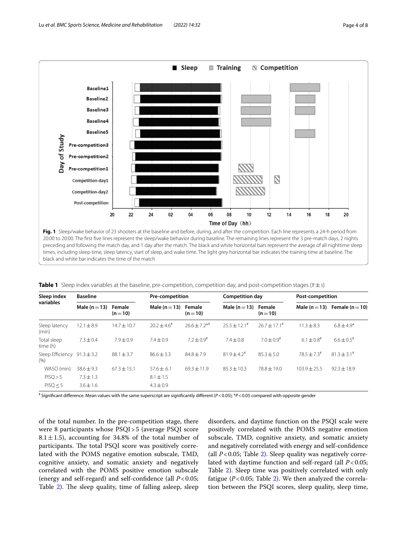

<span id="page-3-0"></span>preceding and following the match day, and 1 day after the match. The black and white horizontal bars represent the average of all nighttime sleep times, including sleep time, sleep latency, start of sleep, and wake time. The light grey horizontal bar indicates the training time at baseline. The black and white bar indicates the time of the match

<span id="page-3-1"></span>

|  |  |  |  | Table 1 Sleep index variables at the baseline, pre-competition, competition day, and post-competition stages $(\bar{x} \pm s)$ |  |  |  |  |  |  |
|--|--|--|--|--------------------------------------------------------------------------------------------------------------------------------|--|--|--|--|--|--|
|--|--|--|--|--------------------------------------------------------------------------------------------------------------------------------|--|--|--|--|--|--|

| Sleep index<br>variables  | <b>Baseline</b> |                    | <b>Pre-competition</b> |                             | <b>Competition day</b>    |                           | Post-competition         |                     |
|---------------------------|-----------------|--------------------|------------------------|-----------------------------|---------------------------|---------------------------|--------------------------|---------------------|
|                           | Male $(n=13)$   | Female<br>$(n=10)$ | Male $(n=13)$          | Female<br>$(n=10)$          | Male $(n=13)$             | Female<br>$(n=10)$        | Male ( $n = 13$ )        | Female ( $n = 10$ ) |
| Sleep latency<br>(min)    | $12.1 \pm 8.9$  | $14.7 \pm 10.7$    | $20.2 + 4.6^{\#}$      | $76.6 + 7.2$ * <sup>#</sup> | $25.5 \pm 12.1^*$         | $76.7 \pm 17.1^{\#}$      | $11.3 \pm 8.3$           | $6.8 + 4.9*$        |
| Total sleep<br>time (h)   | $7.3 \pm 0.4$   | $7.9 \pm 0.9$      | $7.4 \pm 0.9$          | $7.2 + 0.9^{\text{*}}$      | $7.4 \pm 0.8$             | $7.0 \pm 0.9^{\text{\#}}$ | $6.1 \pm 0.8^{\text{*}}$ | $6.6 \pm 0.5$ #     |
| Sleep Efficiency<br>(9/6) | $91.3 \pm 3.2$  | $88.1 \pm 3.7$     | $86.6 \pm 3.3$         | $84.8 + 7.9$                | $81.9 + 4.2$ <sup>#</sup> | $85.3 + 5.0$              | $78.5 + 7.3^*$           | $81.3 \pm 3.1^*$    |
| WASO (min)                | $38.6 \pm 9.3$  | $67.3 \pm 15.1$    | $57.6 \pm .6.1$        | $69.3 + 11.9$               | $85.3 + 10.3$             | $78.8 \pm 19.0$           | $103.9 \pm 25.5$         | $92.3 \pm 18.9$     |
| PISQ > 5                  | $7.3 \pm 1.3$   |                    | $8.1 \pm 1.5$          |                             |                           |                           |                          |                     |
| PISO < 5                  | $3.6 \pm 1.6$   |                    | $4.3 \pm 0.9$          |                             |                           |                           |                          |                     |

# Signifcant diference. Mean values with the same superscript are signifcantly diferent (*P*<0.05); \**P*<0.05 compared with opposite gender

of the total number. In the pre-competition stage, there were 8 participants whose PSQI>5 (average PSQI score 8.1 $\pm$ 1.5), accounting for 34.8% of the total number of participants. The total PSQI score was positively correlated with the POMS negative emotion subscale, TMD, cognitive anxiety, and somatic anxiety and negatively correlated with the POMS positive emotion subscale (energy and self-regard) and self-confdence (all *P*<0.05; Table [2\)](#page-4-1). The sleep quality, time of falling asleep, sleep

disorders, and daytime function on the PSQI scale were positively correlated with the POMS negative emotion subscale, TMD, cognitive anxiety, and somatic anxiety and negatively correlated with energy and self-confdence (all  $P < 0.05$ ; Table [2](#page-4-1)). Sleep quality was negatively correlated with daytime function and self-regard (all *P*<0.05; Table [2](#page-4-1)). Sleep time was positively correlated with only fatigue  $(P<0.05$ ; Table [2\)](#page-4-1). We then analyzed the correlation between the PSQI scores, sleep quality, sleep time,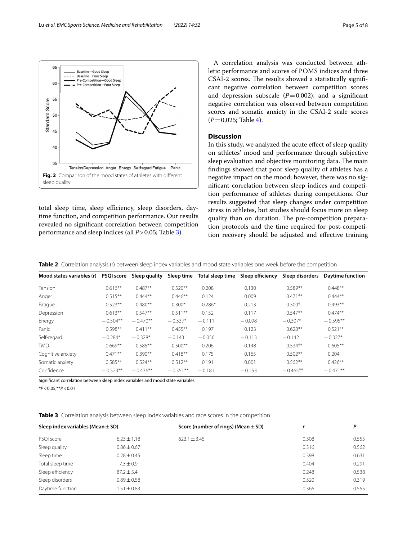total sleep time, sleep efficiency, sleep disorders, daytime function, and competition performance. Our results revealed no signifcant correlation between competition performance and sleep indices (all *P*>0.05; Table [3](#page-4-2)).

<span id="page-4-0"></span>**Fig. 2** Comparison of the mood states of athletes with diferent

Tension Depression Anger Energy Selfregard Fatigue Panic

A correlation analysis was conducted between athletic performance and scores of POMS indices and three CSAI-2 scores. The results showed a statistically significant negative correlation between competition scores and depression subscale  $(P=0.002)$ , and a significant negative correlation was observed between competition scores and somatic anxiety in the CSAI-2 scale scores  $(P=0.025;$  Table [4](#page-5-0)).

# **Discussion**

In this study, we analyzed the acute efect of sleep quality on athletes' mood and performance through subjective sleep evaluation and objective monitoring data. The main fndings showed that poor sleep quality of athletes has a negative impact on the mood; however, there was no signifcant correlation between sleep indices and competition performance of athletes during competitions. Our results suggested that sleep changes under competition stress in athletes, but studies should focus more on sleep quality than on duration. The pre-competition preparation protocols and the time required for post-competition recovery should be adjusted and efective training

<span id="page-4-1"></span>**Table 2** Correlation analysis (r) between sleep index variables and mood state variables one week before the competition

| Mood states variables (r) | <b>PSQI score</b> | Sleep quality | Sleep time | Total sleep time | Sleep efficiency | Sleep disorders | <b>Daytime function</b> |
|---------------------------|-------------------|---------------|------------|------------------|------------------|-----------------|-------------------------|
| Tension                   | $0.616**$         | $0.487**$     | $0.520**$  | 0.208            | 0.130            | $0.589**$       | $0.448**$               |
| Anger                     | $0.515**$         | $0.444**$     | $0.446**$  | 0.124            | 0.009            | $0.471**$       | $0.444**$               |
| Fatigue                   | $0.523**$         | $0.480**$     | $0.300*$   | $0.286*$         | 0.213            | $0.300*$        | $0.493**$               |
| Depression                | $0.613**$         | $0.547**$     | $0.511**$  | 0.152            | 0.117            | $0.547**$       | $0.474**$               |
| Energy                    | $-0.504**$        | $-0.470**$    | $-0.337*$  | $-0.111$         | $-0.098$         | $-0.307*$       | $-0.595**$              |
| Panic                     | $0.598**$         | $0.411***$    | $0.455***$ | 0.197            | 0.123            | $0.628**$       | $0.521**$               |
| Self-regard               | $-0.284*$         | $-0.328*$     | $-0.143$   | $-0.056$         | $-0.113$         | $-0.142$        | $-0.327*$               |
| <b>TMD</b>                | $0.669**$         | $0.585***$    | $0.500**$  | 0.206            | 0.148            | $0.534**$       | $0.605**$               |
| Cognitive anxiety         | $0.471**$         | $0.390**$     | $0.418**$  | 0.175            | 0.165            | $0.502**$       | 0.204                   |
| Somatic anxiety           | $0.585**$         | $0.524**$     | $0.512**$  | 0.191            | 0.001            | $0.562**$       | $0.426**$               |
| Confidence                | $-0.523**$        | $-0.436**$    | $-0.351**$ | $-0.181$         | $-0.153$         | $-0.465**$      | $-0.471**$              |

Signifcant correlation between sleep index variables and mood state variables

\**P*<0.05;\*\**P*<0.01

sleep quality

65

60

55

 $45$ 

40

 $35$ 

Standard Score 50  $- - - -$ 

<span id="page-4-2"></span>**Table 3** Correlation analysis between sleep index variables and race scores in the competition

| Sleep index variables (Mean $\pm$ SD) |                 | Score (number of rings) (Mean $\pm$ SD) |       | Р     |  |
|---------------------------------------|-----------------|-----------------------------------------|-------|-------|--|
| PSQI score                            | $6.23 \pm 1.18$ | $623.1 \pm 3.45$                        | 0.308 | 0.555 |  |
| Sleep quality                         | $0.86 \pm 0.67$ |                                         | 0.316 | 0.562 |  |
| Sleep time                            | $0.28 \pm 0.45$ |                                         | 0.398 | 0.631 |  |
| Total sleep time                      | $7.3 \pm 0.9$   |                                         | 0.404 | 0.291 |  |
| Sleep efficiency                      | $87.2 \pm 5.4$  |                                         | 0.248 | 0.538 |  |
| Sleep disorders                       | $0.89 \pm 0.58$ |                                         | 0.320 | 0.319 |  |
| Daytime function                      | $1.51 \pm 0.83$ |                                         | 0.366 | 0.555 |  |

Baseline-Good Sleep Baseline-Poor Sleep

Pre-Competition-Good Sleep

Pre-Competition-Poor Sleep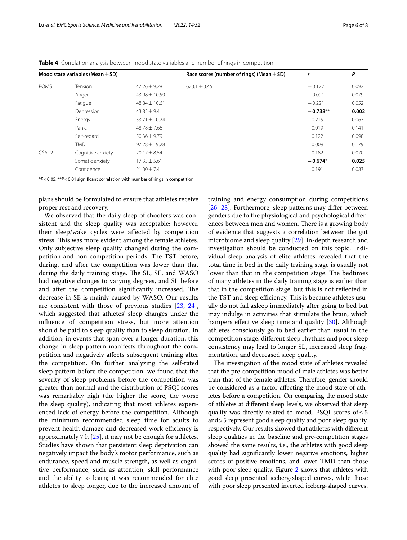|                   |                                      | Race scores (number of rings) (Mean $\pm$ SD) | r          | P     |  |
|-------------------|--------------------------------------|-----------------------------------------------|------------|-------|--|
| Tension           | $47.26 + 9.28$                       | $623.1 + 3.45$                                | $-0.127$   | 0.092 |  |
| Anger             | $43.98 \pm 10.59$                    |                                               | $-0.091$   | 0.079 |  |
| Fatigue           | $48.84 \pm 10.61$                    |                                               | $-0.221$   | 0.052 |  |
| Depression        | $43.82 \pm 9.4$                      |                                               | $-0.738**$ | 0.002 |  |
| Energy            | $53.71 \pm 10.24$                    |                                               | 0.215      | 0.067 |  |
| Panic             | $48.78 \pm 7.66$                     |                                               | 0.019      | 0.141 |  |
| Self-regard       | $50.36 \pm 9.79$                     |                                               | 0.122      | 0.098 |  |
| <b>TMD</b>        | $97.28 \pm 19.28$                    |                                               | 0.009      | 0.179 |  |
| Cognitive anxiety | $20.17 \pm 8.54$                     |                                               | 0.182      | 0.070 |  |
| Somatic anxiety   | $17.33 \pm 5.61$                     |                                               | $-0.674*$  | 0.025 |  |
| Confidence        | $21.00 \pm 7.4$                      |                                               | 0.191      | 0.083 |  |
|                   | Mood state variables (Mean $\pm$ SD) |                                               |            |       |  |

<span id="page-5-0"></span>**Table 4** Correlation analysis between mood state variables and number of rings in competition

\**P*<0.05; \*\**P*<0.01 signifcant correlation with number of rings in competition

plans should be formulated to ensure that athletes receive proper rest and recovery.

We observed that the daily sleep of shooters was consistent and the sleep quality was acceptable; however, their sleep/wake cycles were afected by competition stress. This was more evident among the female athletes. Only subjective sleep quality changed during the competition and non-competition periods. The TST before, during, and after the competition was lower than that during the daily training stage. The SL, SE, and WASO had negative changes to varying degrees, and SL before and after the competition significantly increased. The decrease in SE is mainly caused by WASO. Our results are consistent with those of previous studies [[23](#page-7-20), [24](#page-7-21)], which suggested that athletes' sleep changes under the infuence of competition stress, but more attention should be paid to sleep quality than to sleep duration. In addition, in events that span over a longer duration, this change in sleep pattern manifests throughout the competition and negatively afects subsequent training after the competition. On further analyzing the self-rated sleep pattern before the competition, we found that the severity of sleep problems before the competition was greater than normal and the distribution of PSQI scores was remarkably high (the higher the score, the worse the sleep quality), indicating that most athletes experienced lack of energy before the competition. Although the minimum recommended sleep time for adults to prevent health damage and decreased work efficiency is approximately 7 h [[25](#page-7-22)], it may not be enough for athletes. Studies have shown that persistent sleep deprivation can negatively impact the body's motor performance, such as endurance, speed and muscle strength, as well as cognitive performance, such as attention, skill performance and the ability to learn; it was recommended for elite athletes to sleep longer, due to the increased amount of

training and energy consumption during competitions [[26–](#page-7-23)[28\]](#page-7-24). Furthermore, sleep patterns may differ between genders due to the physiological and psychological diferences between men and women. There is a growing body of evidence that suggests a correlation between the gut microbiome and sleep quality [[29\]](#page-7-25). In-depth research and investigation should be conducted on this topic. Individual sleep analysis of elite athletes revealed that the total time in bed in the daily training stage is usually not lower than that in the competition stage. The bedtimes of many athletes in the daily training stage is earlier than that in the competition stage, but this is not refected in the TST and sleep efficiency. This is because athletes usually do not fall asleep immediately after going to bed but may indulge in activities that stimulate the brain, which hampers effective sleep time and quality [\[30\]](#page-7-26). Although athletes consciously go to bed earlier than usual in the competition stage, diferent sleep rhythms and poor sleep consistency may lead to longer SL, increased sleep fragmentation, and decreased sleep quality.

The investigation of the mood state of athletes revealed that the pre-competition mood of male athletes was better than that of the female athletes. Therefore, gender should be considered as a factor afecting the mood state of athletes before a competition. On comparing the mood state of athletes at diferent sleep levels, we observed that sleep quality was directly related to mood. PSQI scores of  $\leq$  5 and>5 represent good sleep quality and poor sleep quality, respectively. Our results showed that athletes with diferent sleep qualities in the baseline and pre-competition stages showed the same results, i.e., the athletes with good sleep quality had signifcantly lower negative emotions, higher scores of positive emotions, and lower TMD than those with poor sleep quality. Figure [2](#page-4-0) shows that athletes with good sleep presented iceberg-shaped curves, while those with poor sleep presented inverted iceberg-shaped curves.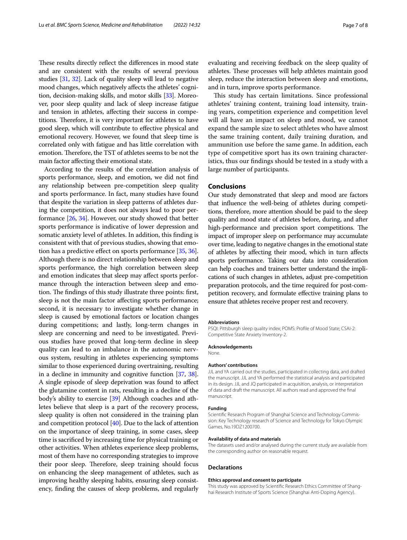These results directly reflect the differences in mood state and are consistent with the results of several previous studies [\[31,](#page-7-27) [32\]](#page-7-28). Lack of quality sleep will lead to negative mood changes, which negatively afects the athletes' cognition, decision-making skills, and motor skills [\[33\]](#page-7-29). Moreover, poor sleep quality and lack of sleep increase fatigue and tension in athletes, afecting their success in competitions. Therefore, it is very important for athletes to have good sleep, which will contribute to efective physical and emotional recovery. However, we found that sleep time is correlated only with fatigue and has little correlation with emotion. Therefore, the TST of athletes seems to be not the main factor afecting their emotional state.

According to the results of the correlation analysis of sports performance, sleep, and emotion, we did not fnd any relationship between pre-competition sleep quality and sports performance. In fact, many studies have found that despite the variation in sleep patterns of athletes during the competition, it does not always lead to poor performance [[26](#page-7-23), [34\]](#page-7-30). However, our study showed that better sports performance is indicative of lower depression and somatic anxiety level of athletes. In addition, this fnding is consistent with that of previous studies, showing that emo-tion has a predictive effect on sports performance [\[35](#page-7-31), [36](#page-7-32)]. Although there is no direct relationship between sleep and sports performance, the high correlation between sleep and emotion indicates that sleep may afect sports performance through the interaction between sleep and emotion. The findings of this study illustrate three points: first, sleep is not the main factor afecting sports performance; second, it is necessary to investigate whether change in sleep is caused by emotional factors or location changes during competitions; and lastly, long-term changes in sleep are concerning and need to be investigated. Previous studies have proved that long-term decline in sleep quality can lead to an imbalance in the autonomic nervous system, resulting in athletes experiencing symptoms similar to those experienced during overtraining, resulting in a decline in immunity and cognitive function [\[37](#page-7-33), [38](#page-7-34)]. A single episode of sleep deprivation was found to afect the glutamine content in rats, resulting in a decline of the body's ability to exercise [\[39\]](#page-7-35) Although coaches and athletes believe that sleep is a part of the recovery process, sleep quality is often not considered in the training plan and competition protocol [\[40\]](#page-7-36). Due to the lack of attention on the importance of sleep training, in some cases, sleep time is sacrifced by increasing time for physical training or other activities. When athletes experience sleep problems, most of them have no corresponding strategies to improve their poor sleep. Therefore, sleep training should focus on enhancing the sleep management of athletes, such as improving healthy sleeping habits, ensuring sleep consistency, fnding the causes of sleep problems, and regularly

evaluating and receiving feedback on the sleep quality of athletes. These processes will help athletes maintain good sleep, reduce the interaction between sleep and emotions, and in turn, improve sports performance.

This study has certain limitations. Since professional athletes' training content, training load intensity, training years, competition experience and competition level will all have an impact on sleep and mood, we cannot expand the sample size to select athletes who have almost the same training content, daily training duration, and ammunition use before the same game. In addition, each type of competitive sport has its own training characteristics, thus our fndings should be tested in a study with a large number of participants.

# **Conclusions**

Our study demonstrated that sleep and mood are factors that infuence the well-being of athletes during competitions, therefore, more attention should be paid to the sleep quality and mood state of athletes before, during, and after high-performance and precision sport competitions. The impact of improper sleep on performance may accumulate over time, leading to negative changes in the emotional state of athletes by afecting their mood, which in turn afects sports performance. Taking our data into consideration can help coaches and trainers better understand the implications of such changes in athletes, adjust pre-competition preparation protocols, and the time required for post-competition recovery, and formulate efective training plans to ensure that athletes receive proper rest and recovery.

#### **Abbreviations**

PSQI: Pittsburgh sleep quality index; POMS: Profle of Mood State; CSAI-2: Competitive State Anxiety Inventory-2.

#### **Acknowledgements**

None.

## **Authors' contributions**

JJL and YA carried out the studies, participated in collecting data, and drafted the manuscript. JJL and YA performed the statistical analysis and participated in its design. JJL and JQ participated in acquisition, analysis, or interpretation of data and draft the manuscript. All authors read and approved the fnal manuscript.

## **Funding**

Scientifc Research Program of Shanghai Science and Technology Commission: Key Technology research of Science and Technology for Tokyo Olympic Games, No.19DZ1200700.

#### **Availability of data and materials**

The datasets used and/or analysed during the current study are available from the corresponding author on reasonable request.

#### **Declarations**

#### **Ethics approval and consent to participate**

This study was approved by Scientifc Research Ethics Committee of Shanghai Research Institute of Sports Science (Shanghai Anti-Doping Agency).